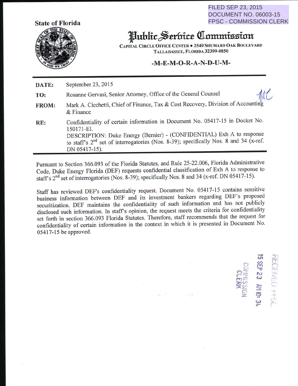FILED SEP 23, 2015 DOCUMENT NO. 06003-15 FPSC - COMMISSION CLERK

> - $\sigma$

.J  $\sum_{i=1}^n$ 

p c

 $\mathscr{L}$ 

 $\frac{1}{2}$  -  $\frac{1}{2}$ c  $m = \frac{1}{2}$  $\pi$  $\circ$ 

 $\approx$   $\equiv$ 

 $\subset$ ---e.<br>9<br>11



## Juhlic~.er&tt~ **<llnmmieinn**

CAPITAL CIRCLE OFFICE CENTER . 2540 SHUMARD OAK BOULEVARD TALLAHASSEE, FLORIDA 32399-0850

## $-M-E-M-O-R-A-N-D-U-M-$

**DATE:** September 23, 2015 **TO: FROM:**  Rosanne Gervasi, Senior Attorney, Office of the General Counsel Mark A. Cicchetti, Chief of Finance, Tax & Cost Recovery, Division of Accounting RE: & Finance Confidentiality of certain information in Document No. 05417-15 in Docket No. 150171-EI. DESCRIPTION: Duke Energy (Bernier)- (CONFIDENTIAL) Exh A to response to staff's 2<sup>nd</sup> set of interrogatories (Nos. 8-39); specifically Nos. 8 and 34 (x-ref. DN 05417-15).

Pursuant to Section 366.093 of the Florida Statutes, and Rule 25-22.006, Florida Administrative Code, Duke Energy Florida (DEF) requests confidential classification of Exh A to response to staff's 2<sup>nd</sup> set of interrogatories (Nos. 8-39); specifically Nos. 8 and 34 (x-ref. DN 05417-15).

Staff has reviewed DEF's confidentiality request. Document No. 05417-15 contains sensitive business information between DEF and its investment bankers regarding DEF's propose<sup>d</sup> securitization. DEF maintains the confidentiality of such information and has not publicly disclosed such information. In staff's opinion, the request meets the criteria for confidentiality set forth in section 366.093 Florida Statutes. Therefore, staff recommends that the request for confidentiality of certain information in the context in which it is presented in Document No. 05417-15 be approved.